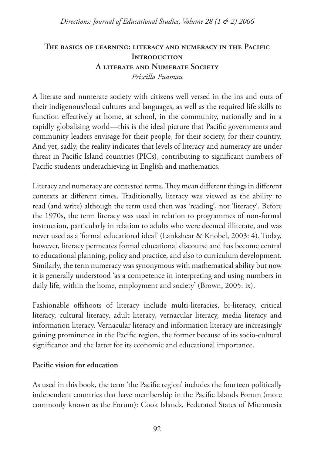## **The basics of learning: literacy and numeracy in the Pacific Introduction A literate and Numerate Society** *Priscilla Puamau*

A literate and numerate society with citizens well versed in the ins and outs of their indigenous/local cultures and languages, as well as the required life skills to function effectively at home, at school, in the community, nationally and in a rapidly globalising world—this is the ideal picture that Pacific governments and community leaders envisage for their people, for their society, for their country. And yet, sadly, the reality indicates that levels of literacy and numeracy are under threat in Pacific Island countries (PICs), contributing to significant numbers of Pacific students underachieving in English and mathematics.

Literacy and numeracy are contested terms. They mean different things in different contexts at different times. Traditionally, literacy was viewed as the ability to read (and write) although the term used then was 'reading', not 'literacy'. Before the 1970s, the term literacy was used in relation to programmes of non-formal instruction, particularly in relation to adults who were deemed illiterate, and was never used as a 'formal educational ideal' (Lankshear & Knobel, 2003: 4). Today, however, literacy permeates formal educational discourse and has become central to educational planning, policy and practice, and also to curriculum development. Similarly, the term numeracy was synonymous with mathematical ability but now it is generally understood 'as a competence in interpreting and using numbers in daily life, within the home, employment and society' (Brown, 2005: ix).

Fashionable offshoots of literacy include multi-literacies, bi-literacy, critical literacy, cultural literacy, adult literacy, vernacular literacy, media literacy and information literacy. Vernacular literacy and information literacy are increasingly gaining prominence in the Pacific region, the former because of its socio-cultural significance and the latter for its economic and educational importance.

## **Pacific vision for education**

As used in this book, the term 'the Pacific region' includes the fourteen politically independent countries that have membership in the Pacific Islands Forum (more commonly known as the Forum): Cook Islands, Federated States of Micronesia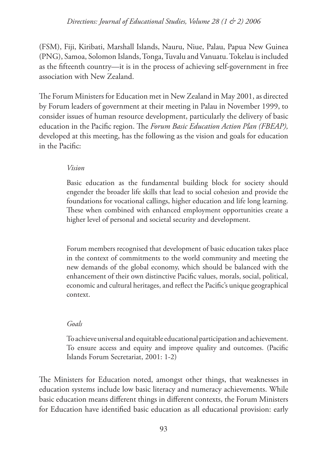### *Directions: Journal of Educational Studies, Volume 28 (1 & 2) 2006*

(FSM), Fiji, Kiribati, Marshall Islands, Nauru, Niue, Palau, Papua New Guinea (PNG), Samoa, Solomon Islands, Tonga, Tuvalu and Vanuatu. Tokelau is included as the fifteenth country—it is in the process of achieving self-government in free association with New Zealand.

The Forum Ministers for Education met in New Zealand in May 2001, as directed by Forum leaders of government at their meeting in Palau in November 1999, to consider issues of human resource development, particularly the delivery of basic education in the Pacific region. The *Forum Basic Education Action Plan (FBEAP),*  developed at this meeting, has the following as the vision and goals for education in the Pacific:

#### *Vision*

Basic education as the fundamental building block for society should engender the broader life skills that lead to social cohesion and provide the foundations for vocational callings, higher education and life long learning. These when combined with enhanced employment opportunities create a higher level of personal and societal security and development.

Forum members recognised that development of basic education takes place in the context of commitments to the world community and meeting the new demands of the global economy, which should be balanced with the enhancement of their own distinctive Pacific values, morals, social, political, economic and cultural heritages, and reflect the Pacific's unique geographical context.

#### *Goals*

To achieve universal and equitable educational participation and achievement. To ensure access and equity and improve quality and outcomes. (Pacific Islands Forum Secretariat, 2001: 1-2)

The Ministers for Education noted, amongst other things, that weaknesses in education systems include low basic literacy and numeracy achievements. While basic education means different things in different contexts, the Forum Ministers for Education have identified basic education as all educational provision: early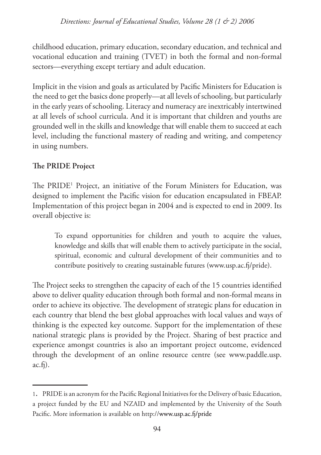childhood education, primary education, secondary education, and technical and vocational education and training (TVET) in both the formal and non-formal sectors—everything except tertiary and adult education.

Implicit in the vision and goals as articulated by Pacific Ministers for Education is the need to get the basics done properly—at all levels of schooling, but particularly in the early years of schooling. Literacy and numeracy are inextricably intertwined at all levels of school curricula. And it is important that children and youths are grounded well in the skills and knowledge that will enable them to succeed at each level, including the functional mastery of reading and writing, and competency in using numbers.

# **The PRIDE Project**

The PRIDE1 Project, an initiative of the Forum Ministers for Education, was designed to implement the Pacific vision for education encapsulated in FBEAP. Implementation of this project began in 2004 and is expected to end in 2009. Its overall objective is:

To expand opportunities for children and youth to acquire the values, knowledge and skills that will enable them to actively participate in the social, spiritual, economic and cultural development of their communities and to contribute positively to creating sustainable futures (www.usp.ac.fj/pride).

The Project seeks to strengthen the capacity of each of the 15 countries identified above to deliver quality education through both formal and non-formal means in order to achieve its objective. The development of strategic plans for education in each country that blend the best global approaches with local values and ways of thinking is the expected key outcome. Support for the implementation of these national strategic plans is provided by the Project. Sharing of best practice and experience amongst countries is also an important project outcome, evidenced through the development of an online resource centre (see www.paddle.usp.  $ac.f.$ 

<sup>1</sup>. PRIDE is an acronym for the Pacific Regional Initiatives for the Delivery of basic Education, a project funded by the EU and NZAID and implemented by the University of the South Pacific. More information is available on http://www.usp.ac.fj/pride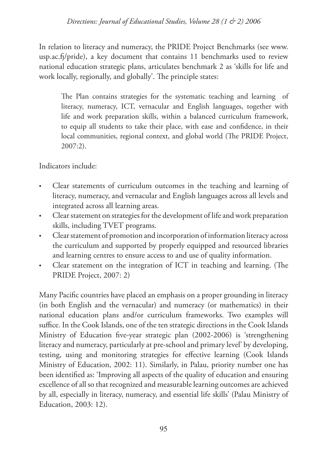### *Directions: Journal of Educational Studies, Volume 28 (1 & 2) 2006*

In relation to literacy and numeracy, the PRIDE Project Benchmarks (see www. usp.ac.fj/pride), a key document that contains 11 benchmarks used to review national education strategic plans, articulates benchmark 2 as 'skills for life and work locally, regionally, and globally'. The principle states:

The Plan contains strategies for the systematic teaching and learning of literacy, numeracy, ICT, vernacular and English languages, together with life and work preparation skills, within a balanced curriculum framework, to equip all students to take their place, with ease and confidence, in their local communities, regional context, and global world (The PRIDE Project, 2007:2).

Indicators include:

- Clear statements of curriculum outcomes in the teaching and learning of literacy, numeracy, and vernacular and English languages across all levels and integrated across all learning areas. •
- Clear statement on strategies for the development of life and work preparation skills, including TVET programs. •
- Clear statement of promotion and incorporation of information literacy across the curriculum and supported by properly equipped and resourced libraries and learning centres to ensure access to and use of quality information. •
- Clear statement on the integration of ICT in teaching and learning. (The PRIDE Project, 2007: 2) •

Many Pacific countries have placed an emphasis on a proper grounding in literacy (in both English and the vernacular) and numeracy (or mathematics) in their national education plans and/or curriculum frameworks. Two examples will suffice. In the Cook Islands, one of the ten strategic directions in the Cook Islands Ministry of Education five-year strategic plan (2002-2006) is 'strengthening literacy and numeracy, particularly at pre-school and primary level' by developing, testing, using and monitoring strategies for effective learning (Cook Islands Ministry of Education, 2002: 11). Similarly, in Palau, priority number one has been identified as: 'Improving all aspects of the quality of education and ensuring excellence of all so that recognized and measurable learning outcomes are achieved by all, especially in literacy, numeracy, and essential life skills' (Palau Ministry of Education, 2003: 12).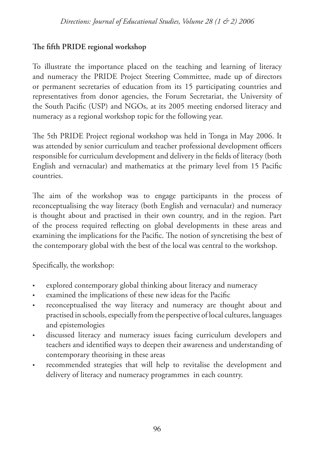## **The fifth PRIDE regional workshop**

To illustrate the importance placed on the teaching and learning of literacy and numeracy the PRIDE Project Steering Committee, made up of directors or permanent secretaries of education from its 15 participating countries and representatives from donor agencies, the Forum Secretariat, the University of the South Pacific (USP) and NGOs, at its 2005 meeting endorsed literacy and numeracy as a regional workshop topic for the following year.

The 5th PRIDE Project regional workshop was held in Tonga in May 2006. It was attended by senior curriculum and teacher professional development officers responsible for curriculum development and delivery in the fields of literacy (both English and vernacular) and mathematics at the primary level from 15 Pacific countries.

The aim of the workshop was to engage participants in the process of reconceptualising the way literacy (both English and vernacular) and numeracy is thought about and practised in their own country, and in the region. Part of the process required reflecting on global developments in these areas and examining the implications for the Pacific. The notion of syncretising the best of the contemporary global with the best of the local was central to the workshop.

Specifically, the workshop:

- explored contemporary global thinking about literacy and numeracy •
- examined the implications of these new ideas for the Pacific •
- reconceptualised the way literacy and numeracy are thought about and practised in schools, especially from the perspective of local cultures, languages and epistemologies •
- discussed literacy and numeracy issues facing curriculum developers and teachers and identified ways to deepen their awareness and understanding of contemporary theorising in these areas •
- recommended strategies that will help to revitalise the development and delivery of literacy and numeracy programmes in each country. •